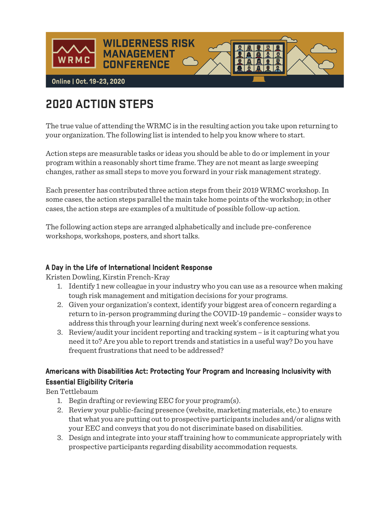

# **2020 ACTION STEPS**

The true value of attending the WRMC is in the resulting action you take upon returning to your organization. The following list is intended to help you know where to start.

Action steps are measurable tasks or ideas you should be able to do or implement in your program within a reasonably short time frame. They are not meant as large sweeping changes, rather as small steps to move you forward in your risk management strategy.

Each presenter has contributed three action steps from their 2019 WRMC workshop. In some cases, the action steps parallel the main take home points of the workshop; in other cases, the action steps are examples of a multitude of possible follow-up action.

The following action steps are arranged alphabetically and include pre-conference workshops, workshops, posters, and short talks.

#### A Day in the Life of International Incident Response

Kristen Dowling, Kirstin French-Kray

- 1. Identify 1 new colleague in your industry who you can use as a resource when making tough risk management and mitigation decisions for your programs.
- 2. Given your organization's context, identify your biggest area of concern regarding a return to in-person programming during the COVID-19 pandemic – consider ways to address this through your learning during next week's conference sessions.
- 3. Review/audit your incident reporting and tracking system is it capturing what you need it to? Are you able to report trends and statistics in a useful way? Do you have frequent frustrations that need to be addressed?

# Americans with Disabilities Act: Protecting Your Program and Increasing Inclusivity with Essential Eligibility Criteria

Ben Tettlebaum

- 1. Begin drafting or reviewing EEC for your program(s).
- 2. Review your public-facing presence (website, marketing materials, etc.) to ensure that what you are putting out to prospective participants includes and/or aligns with your EEC and conveys that you do not discriminate based on disabilities.
- 3. Design and integrate into your staff training how to communicate appropriately with prospective participants regarding disability accommodation requests.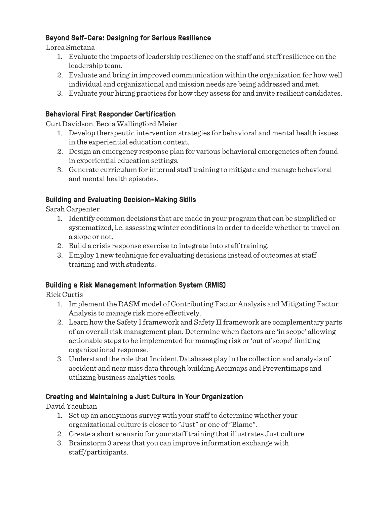#### Beyond Self-Care: Designing for Serious Resilience

Lorca Smetana

- 1. Evaluate the impacts of leadership resilience on the staff and staff resilience on the leadership team.
- 2. Evaluate and bring in improved communication within the organization for how well individual and organizational and mission needs are being addressed and met.
- 3. Evaluate your hiring practices for how they assess for and invite resilient candidates.

#### Behavioral First Responder Certification

Curt Davidson, Becca Wallingford Meier

- 1. Develop therapeutic intervention strategies for behavioral and mental health issues in the experiential education context.
- 2. Design an emergency response plan for various behavioral emergencies often found in experiential education settings.
- 3. Generate curriculum for internal staff training to mitigate and manage behavioral and mental health episodes.

#### Building and Evaluating Decision-Making Skills

Sarah Carpenter

- 1. Identify common decisions that are made in your program that can be simplified or systematized, i.e. assessing winter conditions in order to decide whether to travel on a slope or not.
- 2. Build a crisis response exercise to integrate into staff training.
- 3. Employ 1 new technique for evaluating decisions instead of outcomes at staff training and with students.

#### Building a Risk Management Information System (RMIS)

Rick Curtis

- 1. Implement the RASM model of Contributing Factor Analysis and Mitigating Factor Analysis to manage risk more effectively.
- 2. Learn how the Safety I framework and Safety II framework are complementary parts of an overall risk management plan. Determine when factors are 'in scope' allowing actionable steps to be implemented for managing risk or 'out of scope' limiting organizational response.
- 3. Understand the role that Incident Databases play in the collection and analysis of accident and near miss data through building Accimaps and Preventimaps and utilizing business analytics tools.

#### Creating and Maintaining a Just Culture in Your Organization

David Yacubian

- 1. Set up an anonymous survey with your staff to determine whether your organizational culture is closer to "Just" or one of "Blame".
- 2. Create a short scenario for your staff training that illustrates Just culture.
- 3. Brainstorm 3 areas that you can improve information exchange with staff/participants.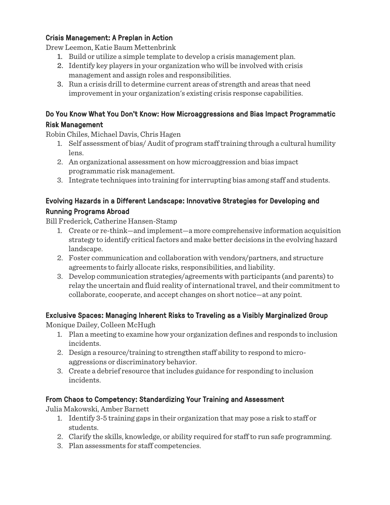#### Crisis Management: A Preplan in Action

Drew Leemon, Katie Baum Mettenbrink

- 1. Build or utilize a simple template to develop a crisis management plan.
- 2. Identify key players in your organization who will be involved with crisis management and assign roles and responsibilities.
- 3. Run a crisis drill to determine current areas of strength and areas that need improvement in your organization's existing crisis response capabilities.

#### Do You Know What You Don't Know: How Microaggressions and Bias Impact Programmatic Risk Management

Robin Chiles, Michael Davis, Chris Hagen

- 1. Self assessment of bias/ Audit of program staff training through a cultural humility lens.
- 2. An organizational assessment on how microaggression and bias impact programmatic risk management.
- 3. Integrate techniques into training for interrupting bias among staff and students.

## Evolving Hazards in a Different Landscape: Innovative Strategies for Developing and Running Programs Abroad

Bill Frederick, Catherine Hansen-Stamp

- 1. Create or re-think—and implement—a more comprehensive information acquisition strategy to identify critical factors and make better decisions in the evolving hazard landscape.
- 2. Foster communication and collaboration with vendors/partners, and structure agreements to fairly allocate risks, responsibilities, and liability.
- 3. Develop communication strategies/agreements with participants (and parents) to relay the uncertain and fluid reality of international travel, and their commitment to collaborate, cooperate, and accept changes on short notice—at any point.

# Exclusive Spaces: Managing Inherent Risks to Traveling as a Visibly Marginalized Group

Monique Dailey, Colleen McHugh

- 1. Plan a meeting to examine how your organization defines and responds to inclusion incidents.
- 2. Design a resource/training to strengthen staff ability to respond to microaggressions or discriminatory behavior.
- 3. Create a debrief resource that includes guidance for responding to inclusion incidents.

## From Chaos to Competency: Standardizing Your Training and Assessment

Julia Makowski, Amber Barnett

- 1. Identify 3-5 training gaps in their organization that may pose a risk to staff or students.
- 2. Clarify the skills, knowledge, or ability required for staff to run safe programming.
- 3. Plan assessments for staff competencies.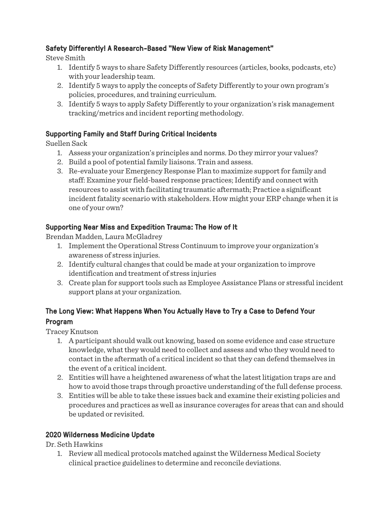#### Safety Differently! A Research-Based "New View of Risk Management"

Steve Smith

- 1. Identify 5 ways to share Safety Differently resources (articles, books, podcasts, etc) with your leadership team.
- 2. Identify 5 ways to apply the concepts of Safety Differently to your own program's policies, procedures, and training curriculum.
- 3. Identify 5 ways to apply Safety Differently to your organization's risk management tracking/metrics and incident reporting methodology.

#### Supporting Family and Staff During Critical Incidents

Suellen Sack

- 1. Assess your organization's principles and norms. Do they mirror your values?
- 2. Build a pool of potential family liaisons. Train and assess.
- 3. Re-evaluate your Emergency Response Plan to maximize support for family and staff: Examine your field-based response practices; Identify and connect with resources to assist with facilitating traumatic aftermath; Practice a significant incident fatality scenario with stakeholders. How might your ERP change when it is one of your own?

#### Supporting Near Miss and Expedition Trauma: The How of It

Brendan Madden, Laura McGladrey

- 1. Implement the Operational Stress Continuum to improve your organization's awareness of stress injuries.
- 2. Identify cultural changes that could be made at your organization to improve identification and treatment of stress injuries
- 3. Create plan for support tools such as Employee Assistance Plans or stressful incident support plans at your organization.

# The Long View: What Happens When You Actually Have to Try a Case to Defend Your Program

Tracey Knutson

- 1. A participant should walk out knowing, based on some evidence and case structure knowledge, what they would need to collect and assess and who they would need to contact in the aftermath of a critical incident so that they can defend themselves in the event of a critical incident.
- 2. Entities will have a heightened awareness of what the latest litigation traps are and how to avoid those traps through proactive understanding of the full defense process.
- 3. Entities will be able to take these issues back and examine their existing policies and procedures and practices as well as insurance coverages for areas that can and should be updated or revisited.

#### 2020 Wilderness Medicine Update

Dr. Seth Hawkins

1. Review all medical protocols matched against the Wilderness Medical Society clinical practice guidelines to determine and reconcile deviations.